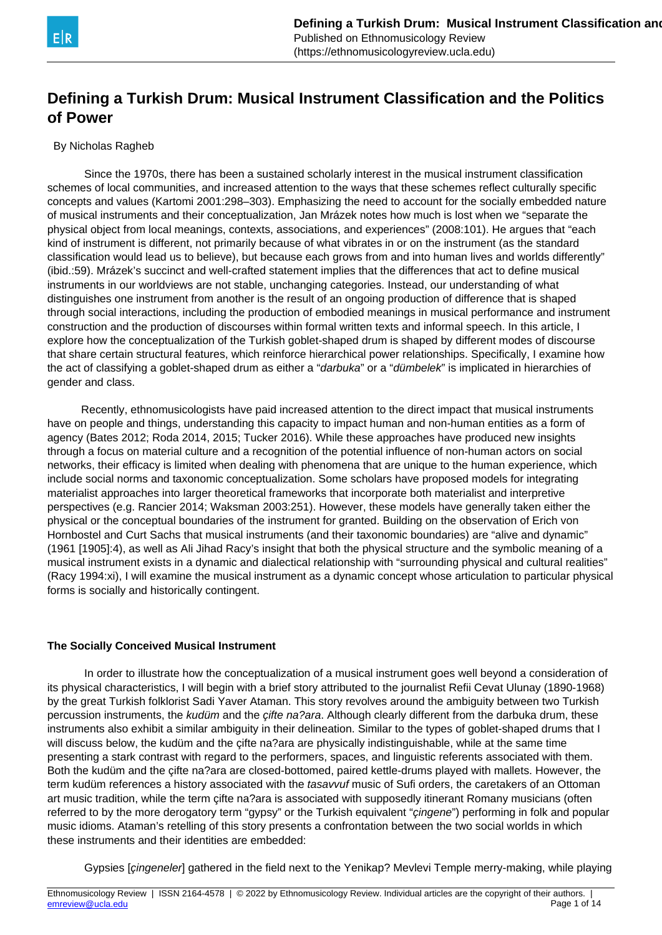

# **Defining a Turkish Drum: Musical Instrument Classification and the Politics of Power**

#### By Nicholas Ragheb

 Since the 1970s, there has been a sustained scholarly interest in the musical instrument classification schemes of local communities, and increased attention to the ways that these schemes reflect culturally specific concepts and values (Kartomi 2001:298–303). Emphasizing the need to account for the socially embedded nature of musical instruments and their conceptualization, Jan Mrázek notes how much is lost when we "separate the physical object from local meanings, contexts, associations, and experiences" (2008:101). He argues that "each kind of instrument is different, not primarily because of what vibrates in or on the instrument (as the standard classification would lead us to believe), but because each grows from and into human lives and worlds differently" (ibid.:59). Mrázek's succinct and well-crafted statement implies that the differences that act to define musical instruments in our worldviews are not stable, unchanging categories. Instead, our understanding of what distinguishes one instrument from another is the result of an ongoing production of difference that is shaped through social interactions, including the production of embodied meanings in musical performance and instrument construction and the production of discourses within formal written texts and informal speech. In this article, I explore how the conceptualization of the Turkish goblet-shaped drum is shaped by different modes of discourse that share certain structural features, which reinforce hierarchical power relationships. Specifically, I examine how the act of classifying a goblet-shaped drum as either a "darbuka" or a "dümbelek" is implicated in hierarchies of gender and class.

 Recently, ethnomusicologists have paid increased attention to the direct impact that musical instruments have on people and things, understanding this capacity to impact human and non-human entities as a form of agency (Bates 2012; Roda 2014, 2015; Tucker 2016). While these approaches have produced new insights through a focus on material culture and a recognition of the potential influence of non-human actors on social networks, their efficacy is limited when dealing with phenomena that are unique to the human experience, which include social norms and taxonomic conceptualization. Some scholars have proposed models for integrating materialist approaches into larger theoretical frameworks that incorporate both materialist and interpretive perspectives (e.g. Rancier 2014; Waksman 2003:251). However, these models have generally taken either the physical or the conceptual boundaries of the instrument for granted. Building on the observation of Erich von Hornbostel and Curt Sachs that musical instruments (and their taxonomic boundaries) are "alive and dynamic" (1961 [1905]:4), as well as Ali Jihad Racy's insight that both the physical structure and the symbolic meaning of a musical instrument exists in a dynamic and dialectical relationship with "surrounding physical and cultural realities" (Racy 1994:xi), I will examine the musical instrument as a dynamic concept whose articulation to particular physical forms is socially and historically contingent.

#### **The Socially Conceived Musical Instrument**

 In order to illustrate how the conceptualization of a musical instrument goes well beyond a consideration of its physical characteristics, I will begin with a brief story attributed to the journalist Refii Cevat Ulunay (1890-1968) by the great Turkish folklorist Sadi Yaver Ataman. This story revolves around the ambiguity between two Turkish percussion instruments, the kudüm and the cifte na?ara. Although clearly different from the darbuka drum, these instruments also exhibit a similar ambiguity in their delineation. Similar to the types of goblet-shaped drums that I will discuss below, the kudüm and the çifte na?ara are physically indistinguishable, while at the same time presenting a stark contrast with regard to the performers, spaces, and linguistic referents associated with them. Both the kudüm and the çifte na?ara are closed-bottomed, paired kettle-drums played with mallets. However, the term kudüm references a history associated with the tasavvuf music of Sufi orders, the caretakers of an Ottoman art music tradition, while the term çifte na?ara is associated with supposedly itinerant Romany musicians (often referred to by the more derogatory term "gypsy" or the Turkish equivalent "çingene") performing in folk and popular music idioms. Ataman's retelling of this story presents a confrontation between the two social worlds in which these instruments and their identities are embedded:

Gypsies [çingeneler] gathered in the field next to the Yenikap? Mevlevi Temple merry-making, while playing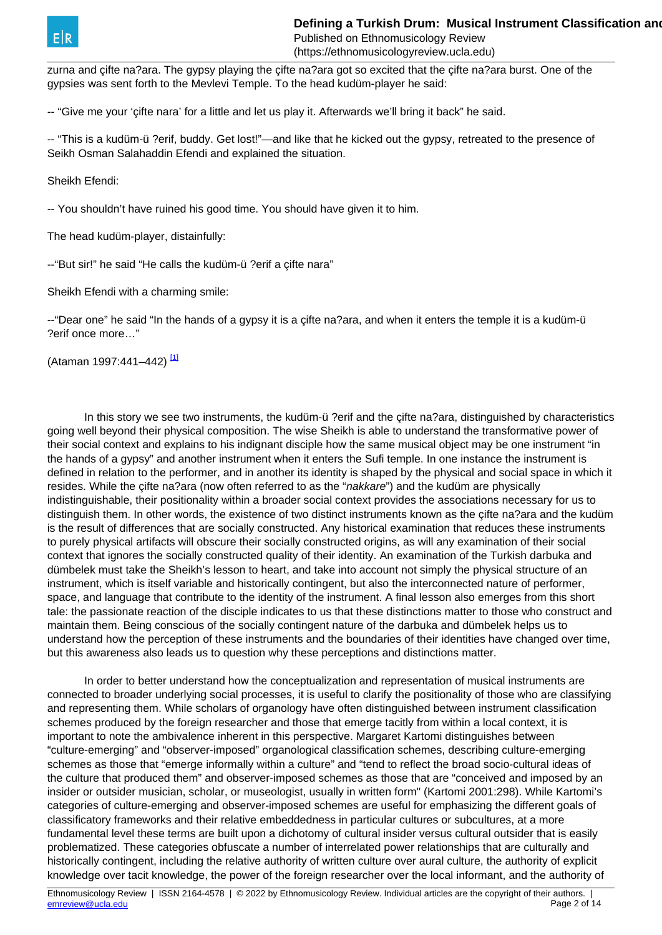<span id="page-1-0"></span>zurna and çifte na?ara. The gypsy playing the çifte na?ara got so excited that the çifte na?ara burst. One of the gypsies was sent forth to the Mevlevi Temple. To the head kudüm-player he said:

-- "Give me your 'çifte nara' for a little and let us play it. Afterwards we'll bring it back" he said.

-- "This is a kudüm-ü ?erif, buddy. Get lost!"—and like that he kicked out the gypsy, retreated to the presence of Seikh Osman Salahaddin Efendi and explained the situation.

Sheikh Efendi:

-- You shouldn't have ruined his good time. You should have given it to him.

The head kudüm-player, distainfully:

--"But sir!" he said "He calls the kudüm-ü ?erif a çifte nara"

Sheikh Efendi with a charming smile:

--"Dear one" he said "In the hands of a gypsy it is a çifte na?ara, and when it enters the temple it is a kudüm-ü ?erif once more…"

(Ataman 1997:441–442)<sup>[\[1\]](#page-1-0)</sup>

 In this story we see two instruments, the kudüm-ü ?erif and the çifte na?ara, distinguished by characteristics going well beyond their physical composition. The wise Sheikh is able to understand the transformative power of their social context and explains to his indignant disciple how the same musical object may be one instrument "in the hands of a gypsy" and another instrument when it enters the Sufi temple. In one instance the instrument is defined in relation to the performer, and in another its identity is shaped by the physical and social space in which it resides. While the cifte na?ara (now often referred to as the "nakkare") and the kudüm are physically indistinguishable, their positionality within a broader social context provides the associations necessary for us to distinguish them. In other words, the existence of two distinct instruments known as the çifte na?ara and the kudüm is the result of differences that are socially constructed. Any historical examination that reduces these instruments to purely physical artifacts will obscure their socially constructed origins, as will any examination of their social context that ignores the socially constructed quality of their identity. An examination of the Turkish darbuka and dümbelek must take the Sheikh's lesson to heart, and take into account not simply the physical structure of an instrument, which is itself variable and historically contingent, but also the interconnected nature of performer, space, and language that contribute to the identity of the instrument. A final lesson also emerges from this short tale: the passionate reaction of the disciple indicates to us that these distinctions matter to those who construct and maintain them. Being conscious of the socially contingent nature of the darbuka and dümbelek helps us to understand how the perception of these instruments and the boundaries of their identities have changed over time, but this awareness also leads us to question why these perceptions and distinctions matter.

 In order to better understand how the conceptualization and representation of musical instruments are connected to broader underlying social processes, it is useful to clarify the positionality of those who are classifying and representing them. While scholars of organology have often distinguished between instrument classification schemes produced by the foreign researcher and those that emerge tacitly from within a local context, it is important to note the ambivalence inherent in this perspective. Margaret Kartomi distinguishes between "culture-emerging" and "observer-imposed" organological classification schemes, describing culture-emerging schemes as those that "emerge informally within a culture" and "tend to reflect the broad socio-cultural ideas of the culture that produced them" and observer-imposed schemes as those that are "conceived and imposed by an insider or outsider musician, scholar, or museologist, usually in written form" (Kartomi 2001:298). While Kartomi's categories of culture-emerging and observer-imposed schemes are useful for emphasizing the different goals of classificatory frameworks and their relative embeddedness in particular cultures or subcultures, at a more fundamental level these terms are built upon a dichotomy of cultural insider versus cultural outsider that is easily problematized. These categories obfuscate a number of interrelated power relationships that are culturally and historically contingent, including the relative authority of written culture over aural culture, the authority of explicit knowledge over tacit knowledge, the power of the foreign researcher over the local informant, and the authority of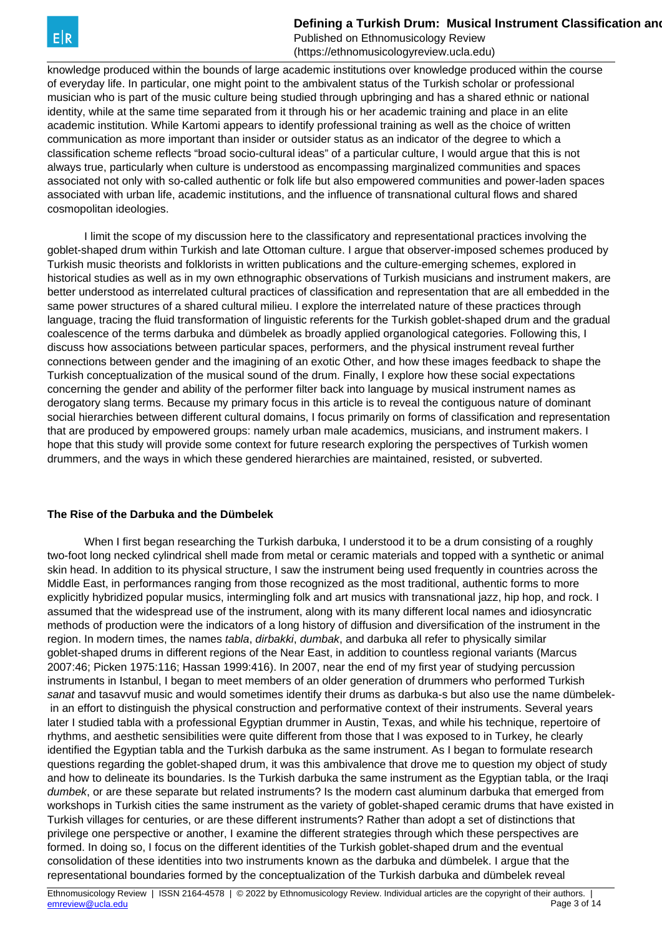**Defining a Turkish Drum: Musical Instrument Classification and Politics of Politics of Politics and Politics** 

Published on Ethnomusicology Review (https://ethnomusicologyreview.ucla.edu)

knowledge produced within the bounds of large academic institutions over knowledge produced within the course of everyday life. In particular, one might point to the ambivalent status of the Turkish scholar or professional musician who is part of the music culture being studied through upbringing and has a shared ethnic or national identity, while at the same time separated from it through his or her academic training and place in an elite academic institution. While Kartomi appears to identify professional training as well as the choice of written communication as more important than insider or outsider status as an indicator of the degree to which a classification scheme reflects "broad socio-cultural ideas" of a particular culture, I would argue that this is not always true, particularly when culture is understood as encompassing marginalized communities and spaces associated not only with so-called authentic or folk life but also empowered communities and power-laden spaces associated with urban life, academic institutions, and the influence of transnational cultural flows and shared cosmopolitan ideologies.

 I limit the scope of my discussion here to the classificatory and representational practices involving the goblet-shaped drum within Turkish and late Ottoman culture. I argue that observer-imposed schemes produced by Turkish music theorists and folklorists in written publications and the culture-emerging schemes, explored in historical studies as well as in my own ethnographic observations of Turkish musicians and instrument makers, are better understood as interrelated cultural practices of classification and representation that are all embedded in the same power structures of a shared cultural milieu. I explore the interrelated nature of these practices through language, tracing the fluid transformation of linguistic referents for the Turkish goblet-shaped drum and the gradual coalescence of the terms darbuka and dümbelek as broadly applied organological categories. Following this, I discuss how associations between particular spaces, performers, and the physical instrument reveal further connections between gender and the imagining of an exotic Other, and how these images feedback to shape the Turkish conceptualization of the musical sound of the drum. Finally, I explore how these social expectations concerning the gender and ability of the performer filter back into language by musical instrument names as derogatory slang terms. Because my primary focus in this article is to reveal the contiguous nature of dominant social hierarchies between different cultural domains, I focus primarily on forms of classification and representation that are produced by empowered groups: namely urban male academics, musicians, and instrument makers. I hope that this study will provide some context for future research exploring the perspectives of Turkish women drummers, and the ways in which these gendered hierarchies are maintained, resisted, or subverted.

#### **The Rise of the Darbuka and the Dümbelek**

 When I first began researching the Turkish darbuka, I understood it to be a drum consisting of a roughly two-foot long necked cylindrical shell made from metal or ceramic materials and topped with a synthetic or animal skin head. In addition to its physical structure, I saw the instrument being used frequently in countries across the Middle East, in performances ranging from those recognized as the most traditional, authentic forms to more explicitly hybridized popular musics, intermingling folk and art musics with transnational jazz, hip hop, and rock. I assumed that the widespread use of the instrument, along with its many different local names and idiosyncratic methods of production were the indicators of a long history of diffusion and diversification of the instrument in the region. In modern times, the names *tabla, dirbakki, dumbak*, and darbuka all refer to physically similar goblet-shaped drums in different regions of the Near East, in addition to countless regional variants (Marcus 2007:46; Picken 1975:116; Hassan 1999:416). In 2007, near the end of my first year of studying percussion instruments in Istanbul, I began to meet members of an older generation of drummers who performed Turkish sanat and tasavvuf music and would sometimes identify their drums as darbuka-s but also use the name dümbelek in an effort to distinguish the physical construction and performative context of their instruments. Several years later I studied tabla with a professional Egyptian drummer in Austin, Texas, and while his technique, repertoire of rhythms, and aesthetic sensibilities were quite different from those that I was exposed to in Turkey, he clearly identified the Egyptian tabla and the Turkish darbuka as the same instrument. As I began to formulate research questions regarding the goblet-shaped drum, it was this ambivalence that drove me to question my object of study and how to delineate its boundaries. Is the Turkish darbuka the same instrument as the Egyptian tabla, or the Iraqi dumbek, or are these separate but related instruments? Is the modern cast aluminum darbuka that emerged from workshops in Turkish cities the same instrument as the variety of goblet-shaped ceramic drums that have existed in Turkish villages for centuries, or are these different instruments? Rather than adopt a set of distinctions that privilege one perspective or another, I examine the different strategies through which these perspectives are formed. In doing so, I focus on the different identities of the Turkish goblet-shaped drum and the eventual consolidation of these identities into two instruments known as the darbuka and dümbelek. I argue that the representational boundaries formed by the conceptualization of the Turkish darbuka and dümbelek reveal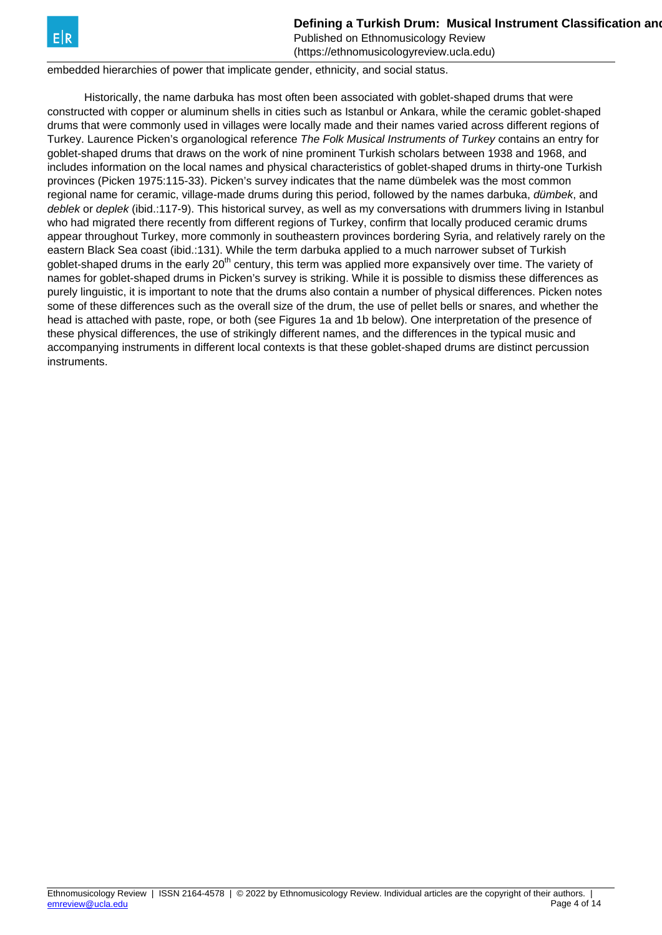

Published on Ethnomusicology Review

(https://ethnomusicologyreview.ucla.edu) embedded hierarchies of power that implicate gender, ethnicity, and social status.

 Historically, the name darbuka has most often been associated with goblet-shaped drums that were constructed with copper or aluminum shells in cities such as Istanbul or Ankara, while the ceramic goblet-shaped drums that were commonly used in villages were locally made and their names varied across different regions of Turkey. Laurence Picken's organological reference The Folk Musical Instruments of Turkey contains an entry for goblet-shaped drums that draws on the work of nine prominent Turkish scholars between 1938 and 1968, and includes information on the local names and physical characteristics of goblet-shaped drums in thirty-one Turkish provinces (Picken 1975:115-33). Picken's survey indicates that the name dümbelek was the most common regional name for ceramic, village-made drums during this period, followed by the names darbuka, dümbek, and deblek or deplek (ibid.:117-9). This historical survey, as well as my conversations with drummers living in Istanbul who had migrated there recently from different regions of Turkey, confirm that locally produced ceramic drums appear throughout Turkey, more commonly in southeastern provinces bordering Syria, and relatively rarely on the eastern Black Sea coast (ibid.:131). While the term darbuka applied to a much narrower subset of Turkish goblet-shaped drums in the early 20<sup>th</sup> century, this term was applied more expansively over time. The variety of names for goblet-shaped drums in Picken's survey is striking. While it is possible to dismiss these differences as purely linguistic, it is important to note that the drums also contain a number of physical differences. Picken notes some of these differences such as the overall size of the drum, the use of pellet bells or snares, and whether the head is attached with paste, rope, or both (see Figures 1a and 1b below). One interpretation of the presence of these physical differences, the use of strikingly different names, and the differences in the typical music and accompanying instruments in different local contexts is that these goblet-shaped drums are distinct percussion instruments.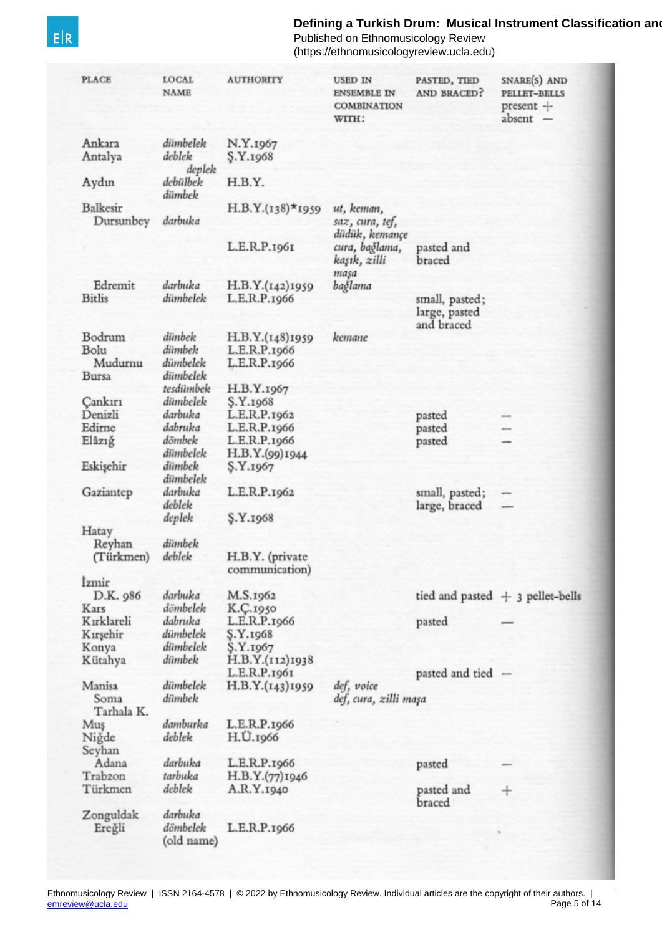### **Defining a Turkish Drum: Musical Instrument Classification and Politics**

Published on Ethnomusicology Review (https://ethnomusicologyreview.ucla.edu)

**PLACE** LOCAL **AUTHORITY USED IN** PASTED, TIED SNARE(S) AND **NAME** AND BRACED? PELLET-BELLS **ENSEMBLE IN COMBINATION** present + absent -WITH: dümbelek Ankara N.Y.1967 deblek Antalya **S.Y.1968** deplek debülbek H.B.Y. Aydın dümbek Balkesir  $H.B.Y.(138)*1959$ ut, keman, Dursunbey darbuka saz, cura, tef, düdük, kemançe cura, bağlama, L.E.R.P.1961 pasted and kaşık, zilli braced maşa darbuka Edremit bağlama H.B.Y.(142)1959 **Bitlis** dümbelek L.E.R.P.1966 small, pasted; large, pasted and braced Bodrum dünbek H.B.Y.(148)1959 kemane Bolu dümbek L.E.R.P.1966 Mudurnu dümbelek L.E.R.P.1966 dümbelek **Bursa** tesdümbek H.B.Y.1967 dümbelek Cankırı S.Y.1968 Denizli darbuka L.E.R.P.1962 pasted dabruka Edirne L.E.R.P.1966 pasted dömbek Elâzığ L.E.R.P.1966 pasted dümbelek H.B.Y.(99)1944 dümbek Eskişehir S.Y.1967 dümbelek darbuka Gaziantep L.E.R.P.1962 small, pasted; deblek large, braced deplek S.Y.1968 Hatay dümbek Reyhan deblek (Türkmen) H.B.Y. (private communication) İzmir darbuka D.K. 986 M.S.1962 tied and pasted  $+$  3 pellet-bells dömbelek K.Ç.1950 Kars dabruka L.E.R.P.1966 Kırklareli pasted dümbelek Kırşehir S.Y.1968 dümbelek Konya S.Y.1967 Kütahya dümbek H.B.Y.(112)1938 L.E.R.P.1961 pasted and tied dümbelek def, voice Manisa H.B.Y.(143)1959 dümbek Soma def, cura, zilli maşa Tarhala K. damburka L.E.R.P.1966 Muş deblek H.U.1966 Nigde Seyhan Adana darbuka L.E.R.P.1966 pasted Trabzon tarbuka H.B.Y.(77)1946 Türkmen deblek A.R.Y.1940 pasted and  $\,{}^{+}\,$ braced Zonguldak darbuka dömbelek Ereğli L.E.R.P.1966 (old name)

 $E|R$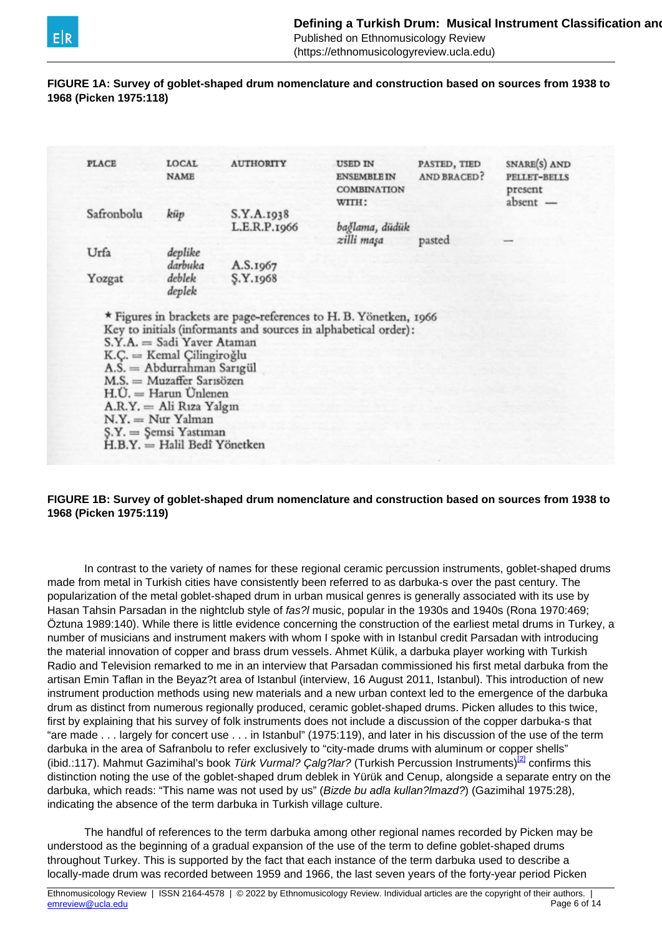<span id="page-5-0"></span>

(https://ethnomusicologyreview.ucla.edu)

#### **FIGURE 1A: Survey of goblet-shaped drum nomenclature and construction based on sources from 1938 to 1968 (Picken 1975:118)**

|            | <b>LOCAL</b>                                                                                                                                                                                                                                                   | <b>AUTHORITY</b>                                                  | <b>USED IN</b>                           | PASTED, TIED       | SNARE(S) AND          |
|------------|----------------------------------------------------------------------------------------------------------------------------------------------------------------------------------------------------------------------------------------------------------------|-------------------------------------------------------------------|------------------------------------------|--------------------|-----------------------|
|            | <b>NAME</b>                                                                                                                                                                                                                                                    |                                                                   | <b>ENSEMBLE IN</b><br><b>COMBINATION</b> | <b>AND BRACED?</b> | PELLET-BELLS          |
|            |                                                                                                                                                                                                                                                                |                                                                   | WITH:                                    |                    | present<br>$absent$ — |
| Safronbolu | küp                                                                                                                                                                                                                                                            | S.Y.A.r <sub>938</sub>                                            |                                          |                    |                       |
|            |                                                                                                                                                                                                                                                                | L.E.R.P.1966                                                      | bağlama, düdük                           |                    |                       |
|            |                                                                                                                                                                                                                                                                |                                                                   | zilli maşa                               | pasted             |                       |
| Urfa       | deplike                                                                                                                                                                                                                                                        |                                                                   |                                          |                    |                       |
|            | darbuka                                                                                                                                                                                                                                                        | A.S.1967                                                          |                                          |                    |                       |
| Yozgat     | deblek                                                                                                                                                                                                                                                         | S.Y.1968                                                          |                                          |                    |                       |
|            | deplek                                                                                                                                                                                                                                                         |                                                                   |                                          |                    |                       |
|            |                                                                                                                                                                                                                                                                | * Figures in brackets are page-references to H. B. Yönetken, 1966 |                                          |                    |                       |
|            | S.Y.A. = Sadi Yaver Ataman<br>$K.C. =$ Kemal Çilingiroğlu<br>$A.S. =$ Abdurrahman Sarıgül<br>M.S. = Muzaffer Sarısözen<br>$H.U. = Harun Unlenen$<br>$A.R.Y. = Ali Rıza Yalgın$<br>$N.Y. = Nur Yalman$<br>S.Y. = Şemsi Yastıman<br>H.B.Y. = Halil Bedî Yönetken | Key to initials (informants and sources in alphabetical order):   |                                          |                    |                       |

#### **FIGURE 1B: Survey of goblet-shaped drum nomenclature and construction based on sources from 1938 to 1968 (Picken 1975:119)**

 In contrast to the variety of names for these regional ceramic percussion instruments, goblet-shaped drums made from metal in Turkish cities have consistently been referred to as darbuka-s over the past century. The popularization of the metal goblet-shaped drum in urban musical genres is generally associated with its use by Hasan Tahsin Parsadan in the nightclub style of fas?l music, popular in the 1930s and 1940s (Rona 1970:469; Öztuna 1989:140). While there is little evidence concerning the construction of the earliest metal drums in Turkey, a number of musicians and instrument makers with whom I spoke with in Istanbul credit Parsadan with introducing the material innovation of copper and brass drum vessels. Ahmet Külik, a darbuka player working with Turkish Radio and Television remarked to me in an interview that Parsadan commissioned his first metal darbuka from the artisan Emin Taflan in the Beyaz?t area of Istanbul (interview, 16 August 2011, Istanbul). This introduction of new instrument production methods using new materials and a new urban context led to the emergence of the darbuka drum as distinct from numerous regionally produced, ceramic goblet-shaped drums. Picken alludes to this twice, first by explaining that his survey of folk instruments does not include a discussion of the copper darbuka-s that "are made . . . largely for concert use . . . in Istanbul" (1975:119), and later in his discussion of the use of the term darbuka in the area of Safranbolu to refer exclusively to "city-made drums with aluminum or copper shells" (ibid.:117). Mahmut Gazimihal's book Türk Vurmal? Calg?lar? (Turkish Percussion Instruments)<sup>[\[2\]](#page-5-0)</sup> confirms this distinction noting the use of the goblet-shaped drum deblek in Yürük and Cenup, alongside a separate entry on the darbuka, which reads: "This name was not used by us" (Bizde bu adla kullan?lmazd?) (Gazimihal 1975:28), indicating the absence of the term darbuka in Turkish village culture.

 The handful of references to the term darbuka among other regional names recorded by Picken may be understood as the beginning of a gradual expansion of the use of the term to define goblet-shaped drums throughout Turkey. This is supported by the fact that each instance of the term darbuka used to describe a locally-made drum was recorded between 1959 and 1966, the last seven years of the forty-year period Picken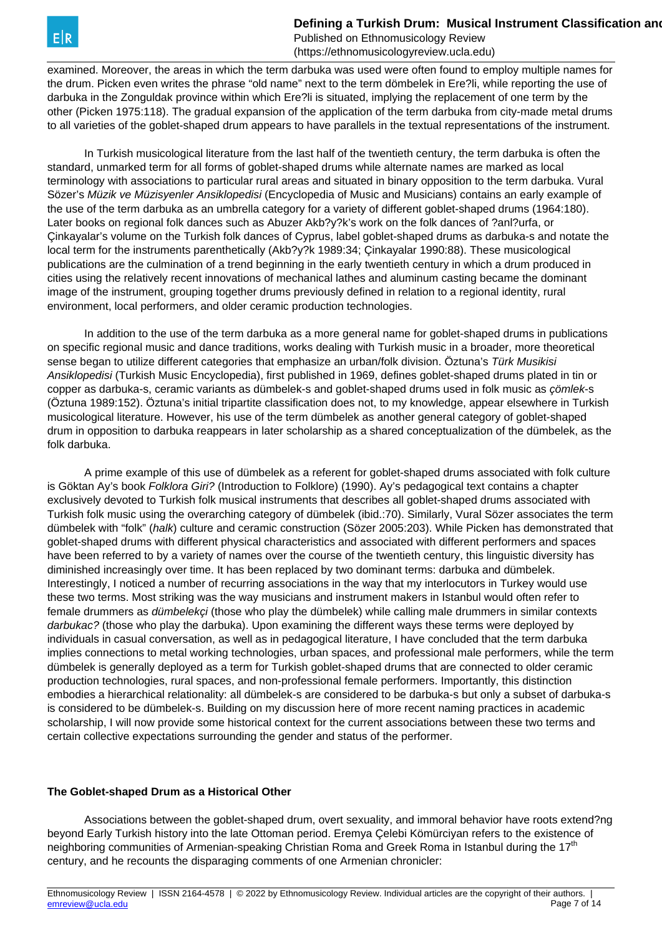examined. Moreover, the areas in which the term darbuka was used were often found to employ multiple names for the drum. Picken even writes the phrase "old name" next to the term dömbelek in Ere?li, while reporting the use of darbuka in the Zonguldak province within which Ere?li is situated, implying the replacement of one term by the other (Picken 1975:118). The gradual expansion of the application of the term darbuka from city-made metal drums to all varieties of the goblet-shaped drum appears to have parallels in the textual representations of the instrument.

 In Turkish musicological literature from the last half of the twentieth century, the term darbuka is often the standard, unmarked term for all forms of goblet-shaped drums while alternate names are marked as local terminology with associations to particular rural areas and situated in binary opposition to the term darbuka. Vural Sözer's Müzik ve Müzisyenler Ansiklopedisi (Encyclopedia of Music and Musicians) contains an early example of the use of the term darbuka as an umbrella category for a variety of different goblet-shaped drums (1964:180). Later books on regional folk dances such as Abuzer Akb?y?k's work on the folk dances of ?anl?urfa, or Çinkayalar's volume on the Turkish folk dances of Cyprus, label goblet-shaped drums as darbuka-s and notate the local term for the instruments parenthetically (Akb?y?k 1989:34; Çinkayalar 1990:88). These musicological publications are the culmination of a trend beginning in the early twentieth century in which a drum produced in cities using the relatively recent innovations of mechanical lathes and aluminum casting became the dominant image of the instrument, grouping together drums previously defined in relation to a regional identity, rural environment, local performers, and older ceramic production technologies.

 In addition to the use of the term darbuka as a more general name for goblet-shaped drums in publications on specific regional music and dance traditions, works dealing with Turkish music in a broader, more theoretical sense began to utilize different categories that emphasize an urban/folk division. Öztuna's Türk Musikisi Ansiklopedisi (Turkish Music Encyclopedia), first published in 1969, defines goblet-shaped drums plated in tin or copper as darbuka-s, ceramic variants as dümbelek-s and goblet-shaped drums used in folk music as *cömlek-*s (Öztuna 1989:152). Öztuna's initial tripartite classification does not, to my knowledge, appear elsewhere in Turkish musicological literature. However, his use of the term dümbelek as another general category of goblet-shaped drum in opposition to darbuka reappears in later scholarship as a shared conceptualization of the dümbelek, as the folk darbuka.

 A prime example of this use of dümbelek as a referent for goblet-shaped drums associated with folk culture is Göktan Ay's book Folklora Giri? (Introduction to Folklore) (1990). Ay's pedagogical text contains a chapter exclusively devoted to Turkish folk musical instruments that describes all goblet-shaped drums associated with Turkish folk music using the overarching category of dümbelek (ibid.:70). Similarly, Vural Sözer associates the term dümbelek with "folk" (halk) culture and ceramic construction (Sözer 2005:203). While Picken has demonstrated that goblet-shaped drums with different physical characteristics and associated with different performers and spaces have been referred to by a variety of names over the course of the twentieth century, this linguistic diversity has diminished increasingly over time. It has been replaced by two dominant terms: darbuka and dümbelek. Interestingly, I noticed a number of recurring associations in the way that my interlocutors in Turkey would use these two terms. Most striking was the way musicians and instrument makers in Istanbul would often refer to female drummers as dümbelekçi (those who play the dümbelek) while calling male drummers in similar contexts darbukac? (those who play the darbuka). Upon examining the different ways these terms were deployed by individuals in casual conversation, as well as in pedagogical literature, I have concluded that the term darbuka implies connections to metal working technologies, urban spaces, and professional male performers, while the term dümbelek is generally deployed as a term for Turkish goblet-shaped drums that are connected to older ceramic production technologies, rural spaces, and non-professional female performers. Importantly, this distinction embodies a hierarchical relationality: all dümbelek-s are considered to be darbuka-s but only a subset of darbuka-s is considered to be dümbelek-s. Building on my discussion here of more recent naming practices in academic scholarship, I will now provide some historical context for the current associations between these two terms and certain collective expectations surrounding the gender and status of the performer.

#### **The Goblet-shaped Drum as a Historical Other**

 Associations between the goblet-shaped drum, overt sexuality, and immoral behavior have roots extend?ng beyond Early Turkish history into the late Ottoman period. Eremya Çelebi Kömürciyan refers to the existence of neighboring communities of Armenian-speaking Christian Roma and Greek Roma in Istanbul during the 17<sup>th</sup> century, and he recounts the disparaging comments of one Armenian chronicler: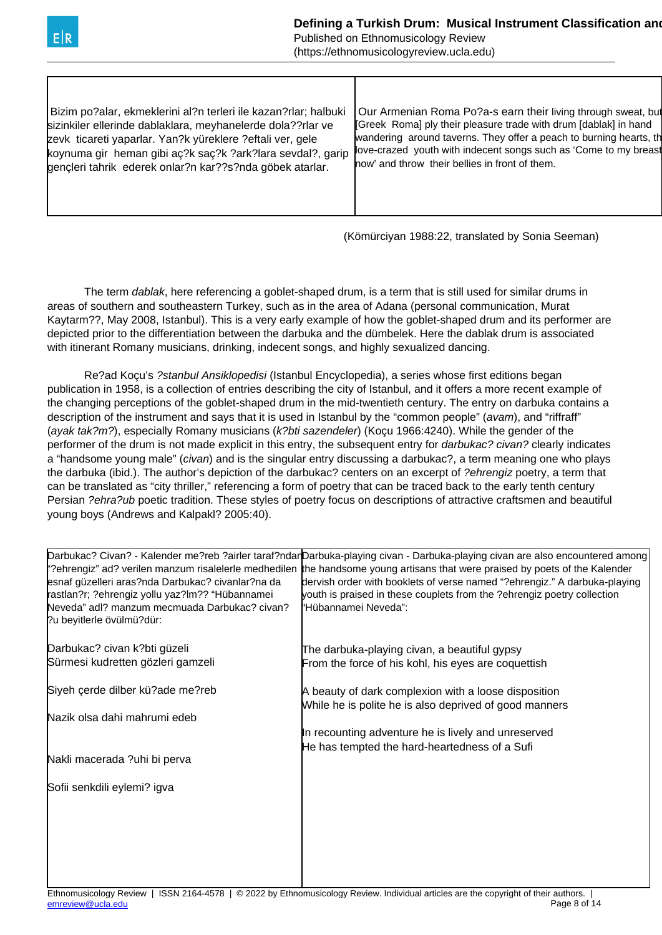

Published on Ethnomusicology Review

(https://ethnomusicologyreview.ucla.edu)

| Bizim po?alar, ekmeklerini al?n terleri ile kazan?rlar; halbuki<br>sizinkiler ellerinde dablaklara, meyhanelerde dola??rlar ve<br>zevk ticareti yaparlar. Yan?k yüreklere ?eftali ver, gele<br>koynuma gir heman gibi aç?k saç?k ?ark?lara sevdal?, garip<br>gençleri tahrik ederek onlar?n kar??s?nda göbek atarlar. | Our Armenian Roma Po?a-s earn their living through sweat, but<br>Greek Romal ply their pleasure trade with drum [dablak] in hand<br>wandering around taverns. They offer a peach to burning hearts, the<br>love-crazed youth with indecent songs such as 'Come to my breast<br>now' and throw their bellies in front of them. |
|-----------------------------------------------------------------------------------------------------------------------------------------------------------------------------------------------------------------------------------------------------------------------------------------------------------------------|-------------------------------------------------------------------------------------------------------------------------------------------------------------------------------------------------------------------------------------------------------------------------------------------------------------------------------|
|                                                                                                                                                                                                                                                                                                                       |                                                                                                                                                                                                                                                                                                                               |

(Kömürciyan 1988:22, translated by Sonia Seeman)

The term *dablak*, here referencing a goblet-shaped drum, is a term that is still used for similar drums in areas of southern and southeastern Turkey, such as in the area of Adana (personal communication, Murat Kaytarm??, May 2008, Istanbul). This is a very early example of how the goblet-shaped drum and its performer are depicted prior to the differentiation between the darbuka and the dümbelek. Here the dablak drum is associated with itinerant Romany musicians, drinking, indecent songs, and highly sexualized dancing.

 Re?ad Koçu's ?stanbul Ansiklopedisi (Istanbul Encyclopedia), a series whose first editions began publication in 1958, is a collection of entries describing the city of Istanbul, and it offers a more recent example of the changing perceptions of the goblet-shaped drum in the mid-twentieth century. The entry on darbuka contains a description of the instrument and says that it is used in Istanbul by the "common people" (avam), and "riffraff" (ayak tak?m?), especially Romany musicians (k?bti sazendeler) (Koçu 1966:4240). While the gender of the performer of the drum is not made explicit in this entry, the subsequent entry for *darbukac? civan?* clearly indicates a "handsome young male" (civan) and is the singular entry discussing a darbukac?, a term meaning one who plays the darbuka (ibid.). The author's depiction of the darbukac? centers on an excerpt of ?ehrengiz poetry, a term that can be translated as "city thriller," referencing a form of poetry that can be traced back to the early tenth century Persian ?ehra?ub poetic tradition. These styles of poetry focus on descriptions of attractive craftsmen and beautiful young boys (Andrews and Kalpakl? 2005:40).

| esnaf güzelleri aras?nda Darbukac? civanlar?na da<br>rastlan?r; ?ehrengiz yollu yaz?lm?? "Hübannamei<br>Neveda" adl? manzum mecmuada Darbukac? civan?<br>?u beyitlerle övülmü?dür: | Darbukac? Civan? - Kalender me?reb ?airler taraf?ndarDarbuka-playing civan - Darbuka-playing civan are also encountered among<br>"?ehrengiz" ad? verilen manzum risalelerle medhedilen the handsome young artisans that were praised by poets of the Kalender<br>dervish order with booklets of verse named "?ehrengiz." A darbuka-playing<br>youth is praised in these couplets from the ?ehrengiz poetry collection<br>"Hübannamei Neveda": |
|------------------------------------------------------------------------------------------------------------------------------------------------------------------------------------|-----------------------------------------------------------------------------------------------------------------------------------------------------------------------------------------------------------------------------------------------------------------------------------------------------------------------------------------------------------------------------------------------------------------------------------------------|
| Darbukac? civan k?bti güzeli                                                                                                                                                       | The darbuka-playing civan, a beautiful gypsy                                                                                                                                                                                                                                                                                                                                                                                                  |
| Sürmesi kudretten gözleri gamzeli                                                                                                                                                  | From the force of his kohl, his eyes are coquettish                                                                                                                                                                                                                                                                                                                                                                                           |
| Siyeh çerde dilber kü?ade me?reb                                                                                                                                                   | A beauty of dark complexion with a loose disposition<br>While he is polite he is also deprived of good manners                                                                                                                                                                                                                                                                                                                                |
| Nazik olsa dahi mahrumi edeb                                                                                                                                                       |                                                                                                                                                                                                                                                                                                                                                                                                                                               |
|                                                                                                                                                                                    | In recounting adventure he is lively and unreserved                                                                                                                                                                                                                                                                                                                                                                                           |
| Nakli macerada ?uhi bi perva                                                                                                                                                       | He has tempted the hard-heartedness of a Sufi                                                                                                                                                                                                                                                                                                                                                                                                 |
| Sofii senkdili eylemi? igva                                                                                                                                                        |                                                                                                                                                                                                                                                                                                                                                                                                                                               |
|                                                                                                                                                                                    |                                                                                                                                                                                                                                                                                                                                                                                                                                               |
|                                                                                                                                                                                    |                                                                                                                                                                                                                                                                                                                                                                                                                                               |
|                                                                                                                                                                                    |                                                                                                                                                                                                                                                                                                                                                                                                                                               |
|                                                                                                                                                                                    |                                                                                                                                                                                                                                                                                                                                                                                                                                               |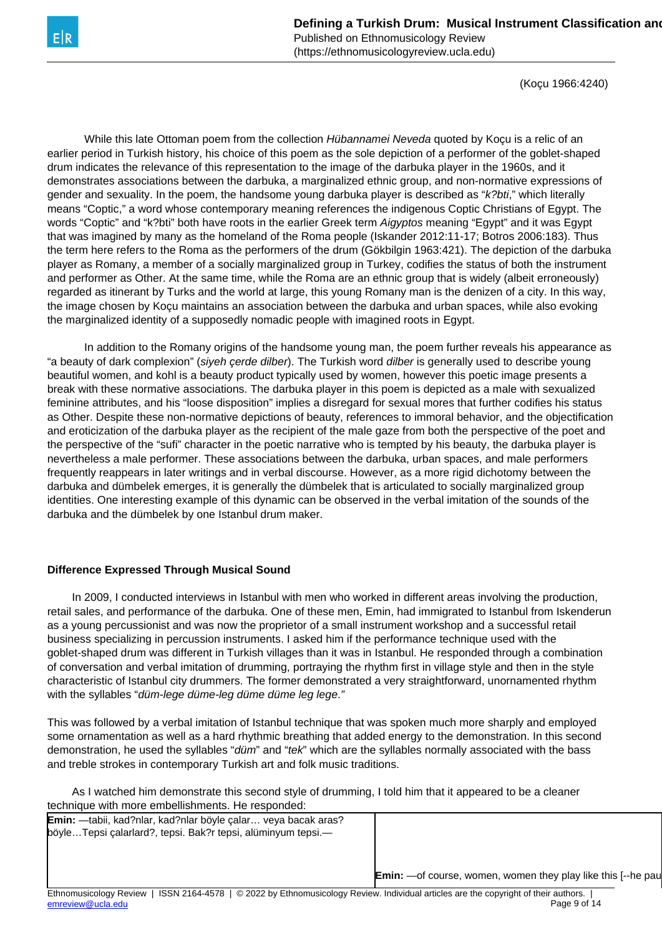

(https://ethnomusicologyreview.ucla.edu)

(Koçu 1966:4240)

While this late Ottoman poem from the collection Hübannamei Neveda quoted by Koçu is a relic of an earlier period in Turkish history, his choice of this poem as the sole depiction of a performer of the goblet-shaped drum indicates the relevance of this representation to the image of the darbuka player in the 1960s, and it demonstrates associations between the darbuka, a marginalized ethnic group, and non-normative expressions of gender and sexuality. In the poem, the handsome young darbuka player is described as "k?bti," which literally means "Coptic," a word whose contemporary meaning references the indigenous Coptic Christians of Egypt. The words "Coptic" and "k?bti" both have roots in the earlier Greek term Aigyptos meaning "Egypt" and it was Egypt that was imagined by many as the homeland of the Roma people (Iskander 2012:11-17; Botros 2006:183). Thus the term here refers to the Roma as the performers of the drum (Gökbilgin 1963:421). The depiction of the darbuka player as Romany, a member of a socially marginalized group in Turkey, codifies the status of both the instrument and performer as Other. At the same time, while the Roma are an ethnic group that is widely (albeit erroneously) regarded as itinerant by Turks and the world at large, this young Romany man is the denizen of a city. In this way, the image chosen by Koçu maintains an association between the darbuka and urban spaces, while also evoking the marginalized identity of a supposedly nomadic people with imagined roots in Egypt.

 In addition to the Romany origins of the handsome young man, the poem further reveals his appearance as "a beauty of dark complexion" (siyeh cerde dilber). The Turkish word dilber is generally used to describe young beautiful women, and kohl is a beauty product typically used by women, however this poetic image presents a break with these normative associations. The darbuka player in this poem is depicted as a male with sexualized feminine attributes, and his "loose disposition" implies a disregard for sexual mores that further codifies his status as Other. Despite these non-normative depictions of beauty, references to immoral behavior, and the objectification and eroticization of the darbuka player as the recipient of the male gaze from both the perspective of the poet and the perspective of the "sufi" character in the poetic narrative who is tempted by his beauty, the darbuka player is nevertheless a male performer. These associations between the darbuka, urban spaces, and male performers frequently reappears in later writings and in verbal discourse. However, as a more rigid dichotomy between the darbuka and dümbelek emerges, it is generally the dümbelek that is articulated to socially marginalized group identities. One interesting example of this dynamic can be observed in the verbal imitation of the sounds of the darbuka and the dümbelek by one Istanbul drum maker.

#### **Difference Expressed Through Musical Sound**

 In 2009, I conducted interviews in Istanbul with men who worked in different areas involving the production, retail sales, and performance of the darbuka. One of these men, Emin, had immigrated to Istanbul from Iskenderun as a young percussionist and was now the proprietor of a small instrument workshop and a successful retail business specializing in percussion instruments. I asked him if the performance technique used with the goblet-shaped drum was different in Turkish villages than it was in Istanbul. He responded through a combination of conversation and verbal imitation of drumming, portraying the rhythm first in village style and then in the style characteristic of Istanbul city drummers. The former demonstrated a very straightforward, unornamented rhythm with the syllables "düm-lege düme-leg düme düme leg lege."

This was followed by a verbal imitation of Istanbul technique that was spoken much more sharply and employed some ornamentation as well as a hard rhythmic breathing that added energy to the demonstration. In this second demonstration, he used the syllables "düm" and "tek" which are the syllables normally associated with the bass and treble strokes in contemporary Turkish art and folk music traditions.

 As I watched him demonstrate this second style of drumming, I told him that it appeared to be a cleaner technique with more embellishments. He responded:

| <b>Emin:</b> —tabii, kad?nlar, kad?nlar böyle çalar veya bacak aras? |                                                                     |
|----------------------------------------------------------------------|---------------------------------------------------------------------|
| böyleTepsi çalarlard?, tepsi. Bak?r tepsi, alüminyum tepsi.—         |                                                                     |
|                                                                      |                                                                     |
|                                                                      |                                                                     |
|                                                                      | <b>Emin:</b> —of course, women, women they play like this [--he pau |
|                                                                      |                                                                     |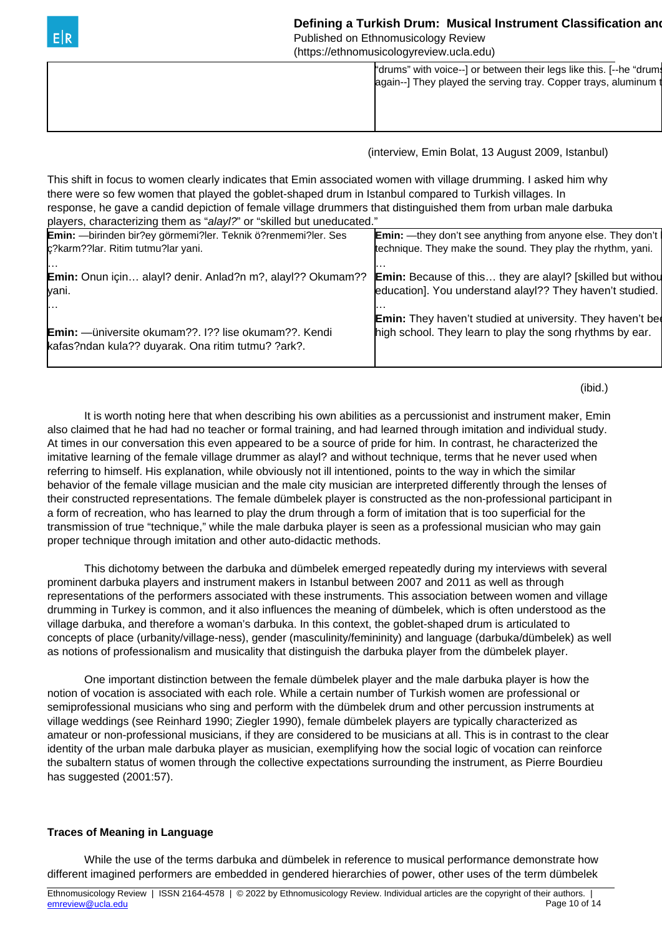| E R | Defining a Turkish Drum: Musical Instrument Classification and<br>Published on Ethnomusicology Review<br>(https://ethnomusicologyreview.ucla.edu) |  |
|-----|---------------------------------------------------------------------------------------------------------------------------------------------------|--|
|     | "drums" with voice--] or between their legs like this. [--he "drums<br>again--] They played the serving tray. Copper trays, aluminum t            |  |

(interview, Emin Bolat, 13 August 2009, Istanbul)

This shift in focus to women clearly indicates that Emin associated women with village drumming. I asked him why there were so few women that played the goblet-shaped drum in Istanbul compared to Turkish villages. In response, he gave a candid depiction of female village drummers that distinguished them from urban male darbuka players, characterizing them as "alayl?" or "skilled but uneducated."

| players, characterizing them as alayr: or sitilica but difeducated. |                                                                    |
|---------------------------------------------------------------------|--------------------------------------------------------------------|
| Emin: - birinden bir?ey görmemi?ler. Teknik ö?renmemi?ler. Ses      | <b>Emin:</b> —they don't see anything from anyone else. They don't |
| c?karm??lar. Ritim tutmu?lar yani.                                  | technique. They make the sound. They play the rhythm, yani.        |
|                                                                     |                                                                    |
| <b>Emin:</b> Onun için alayl? denir. Anlad?n m?, alayl?? Okumam??   | <b>Emin:</b> Because of this they are alay!? [skilled but withou   |
| vani.                                                               | education]. You understand alayl?? They haven't studied.           |
| 1.                                                                  |                                                                    |
|                                                                     | <b>Emin:</b> They haven't studied at university. They haven't be   |
| <b>Emin:</b> - üniversite okumam??. 1?? lise okumam??. Kendi        | high school. They learn to play the song rhythms by ear.           |
| kafas?ndan kula?? duyarak. Ona ritim tutmu? ?ark?.                  |                                                                    |
|                                                                     |                                                                    |

(ibid.)

 It is worth noting here that when describing his own abilities as a percussionist and instrument maker, Emin also claimed that he had had no teacher or formal training, and had learned through imitation and individual study. At times in our conversation this even appeared to be a source of pride for him. In contrast, he characterized the imitative learning of the female village drummer as alayl? and without technique, terms that he never used when referring to himself. His explanation, while obviously not ill intentioned, points to the way in which the similar behavior of the female village musician and the male city musician are interpreted differently through the lenses of their constructed representations. The female dümbelek player is constructed as the non-professional participant in a form of recreation, who has learned to play the drum through a form of imitation that is too superficial for the transmission of true "technique," while the male darbuka player is seen as a professional musician who may gain proper technique through imitation and other auto-didactic methods.

 This dichotomy between the darbuka and dümbelek emerged repeatedly during my interviews with several prominent darbuka players and instrument makers in Istanbul between 2007 and 2011 as well as through representations of the performers associated with these instruments. This association between women and village drumming in Turkey is common, and it also influences the meaning of dümbelek, which is often understood as the village darbuka, and therefore a woman's darbuka. In this context, the goblet-shaped drum is articulated to concepts of place (urbanity/village-ness), gender (masculinity/femininity) and language (darbuka/dümbelek) as well as notions of professionalism and musicality that distinguish the darbuka player from the dümbelek player.

 One important distinction between the female dümbelek player and the male darbuka player is how the notion of vocation is associated with each role. While a certain number of Turkish women are professional or semiprofessional musicians who sing and perform with the dümbelek drum and other percussion instruments at village weddings (see Reinhard 1990; Ziegler 1990), female dümbelek players are typically characterized as amateur or non-professional musicians, if they are considered to be musicians at all. This is in contrast to the clear identity of the urban male darbuka player as musician, exemplifying how the social logic of vocation can reinforce the subaltern status of women through the collective expectations surrounding the instrument, as Pierre Bourdieu has suggested (2001:57).

#### **Traces of Meaning in Language**

 While the use of the terms darbuka and dümbelek in reference to musical performance demonstrate how different imagined performers are embedded in gendered hierarchies of power, other uses of the term dümbelek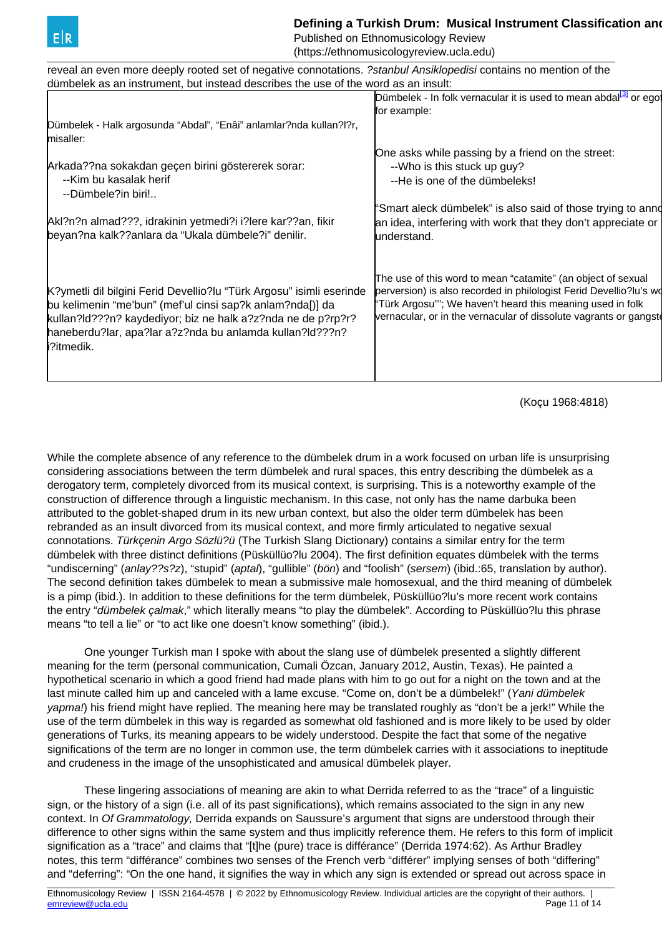<span id="page-10-0"></span>

## **Defining a Turkish Drum: Musical Instrument Classification and Politics of Politics and Politics and Politics**

Published on Ethnomusicology Review (https://ethnomusicologyreview.ucla.edu)

| reveal an even more deeply rooted set of negative connotations. ?stanbul Ansiklopedisi contains no mention of the |                                                                              |
|-------------------------------------------------------------------------------------------------------------------|------------------------------------------------------------------------------|
| dümbelek as an instrument, but instead describes the use of the word as an insult:                                |                                                                              |
|                                                                                                                   | Dümbelek - In folk vernacular it is used to mean abdal <sup>34</sup> or egot |
|                                                                                                                   | for example:                                                                 |
| Dümbelek - Halk argosunda "Abdal", "Enâi" anlamlar?nda kullan?l?r,                                                |                                                                              |
| misaller:                                                                                                         |                                                                              |
|                                                                                                                   | One asks while passing by a friend on the street:                            |
| Arkada??na sokakdan geçen birini göstererek sorar:                                                                | --Who is this stuck up guy?                                                  |
| --Kim bu kasalak herif                                                                                            | --He is one of the dümbeleks!                                                |
| --Dümbele?in biri!                                                                                                |                                                                              |
|                                                                                                                   | "Smart aleck dümbelek" is also said of those trying to anno                  |
| Akl?n?n almad???, idrakinin yetmedi?i i?lere kar??an, fikir                                                       | an idea, interfering with work that they don't appreciate or                 |
| beyan?na kalk??anlara da "Ukala dümbele?i" denilir.                                                               | understand.                                                                  |
|                                                                                                                   |                                                                              |
|                                                                                                                   |                                                                              |
|                                                                                                                   | The use of this word to mean "catamite" (an object of sexual                 |
| K?ymetli dil bilgini Ferid Devellio?lu "Türk Argosu" isimli eserinde                                              | perversion) is also recorded in philologist Ferid Devellio?lu's wo           |
| bu kelimenin "me'bun" (mef'ul cinsi sap?k anlam?nda[)] da                                                         | "Türk Argosu""; We haven't heard this meaning used in folk                   |
| kullan?ld???n? kaydediyor; biz ne halk a?z?nda ne de p?rp?r?                                                      | vernacular, or in the vernacular of dissolute vagrants or gangste            |
| haneberdu?lar, apa?lar a?z?nda bu anlamda kullan?ld???n?                                                          |                                                                              |
| i?itmedik.                                                                                                        |                                                                              |
|                                                                                                                   |                                                                              |
|                                                                                                                   |                                                                              |
|                                                                                                                   |                                                                              |

(Koçu 1968:4818)

While the complete absence of any reference to the dümbelek drum in a work focused on urban life is unsurprising considering associations between the term dümbelek and rural spaces, this entry describing the dümbelek as a derogatory term, completely divorced from its musical context, is surprising. This is a noteworthy example of the construction of difference through a linguistic mechanism. In this case, not only has the name darbuka been attributed to the goblet-shaped drum in its new urban context, but also the older term dümbelek has been rebranded as an insult divorced from its musical context, and more firmly articulated to negative sexual connotations. Türkçenin Argo Sözlü?ü (The Turkish Slang Dictionary) contains a similar entry for the term dümbelek with three distinct definitions (Püsküllüo?lu 2004). The first definition equates dümbelek with the terms "undiscerning" (anlay??s?z), "stupid" (aptal), "gullible" (bön) and "foolish" (sersem) (ibid.:65, translation by author). The second definition takes dümbelek to mean a submissive male homosexual, and the third meaning of dümbelek is a pimp (ibid.). In addition to these definitions for the term dümbelek, Püsküllüo?lu's more recent work contains the entry "dümbelek çalmak," which literally means "to play the dümbelek". According to Püsküllüo?lu this phrase means "to tell a lie" or "to act like one doesn't know something" (ibid.).

One younger Turkish man I spoke with about the slang use of dümbelek presented a slightly different meaning for the term (personal communication, Cumali Özcan, January 2012, Austin, Texas). He painted a hypothetical scenario in which a good friend had made plans with him to go out for a night on the town and at the last minute called him up and canceled with a lame excuse. "Come on, don't be a dümbelek!" (Yani dümbelek yapma!) his friend might have replied. The meaning here may be translated roughly as "don't be a jerk!" While the use of the term dümbelek in this way is regarded as somewhat old fashioned and is more likely to be used by older generations of Turks, its meaning appears to be widely understood. Despite the fact that some of the negative significations of the term are no longer in common use, the term dümbelek carries with it associations to ineptitude and crudeness in the image of the unsophisticated and amusical dümbelek player.

 These lingering associations of meaning are akin to what Derrida referred to as the "trace" of a linguistic sign, or the history of a sign (i.e. all of its past significations), which remains associated to the sign in any new context. In Of Grammatology, Derrida expands on Saussure's argument that signs are understood through their difference to other signs within the same system and thus implicitly reference them. He refers to this form of implicit signification as a "trace" and claims that "[t]he (pure) trace is différance" (Derrida 1974:62). As Arthur Bradley notes, this term "différance" combines two senses of the French verb "différer" implying senses of both "differing" and "deferring": "On the one hand, it signifies the way in which any sign is extended or spread out across space in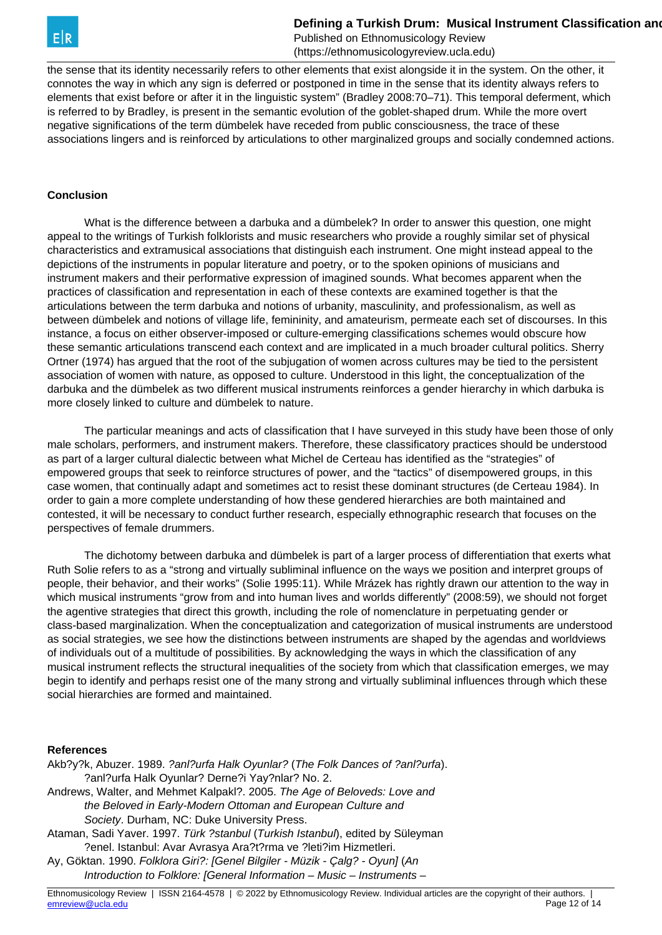

the sense that its identity necessarily refers to other elements that exist alongside it in the system. On the other, it connotes the way in which any sign is deferred or postponed in time in the sense that its identity always refers to elements that exist before or after it in the linguistic system" (Bradley 2008:70–71). This temporal deferment, which is referred to by Bradley, is present in the semantic evolution of the goblet-shaped drum. While the more overt negative significations of the term dümbelek have receded from public consciousness, the trace of these associations lingers and is reinforced by articulations to other marginalized groups and socially condemned actions.

#### **Conclusion**

 What is the difference between a darbuka and a dümbelek? In order to answer this question, one might appeal to the writings of Turkish folklorists and music researchers who provide a roughly similar set of physical characteristics and extramusical associations that distinguish each instrument. One might instead appeal to the depictions of the instruments in popular literature and poetry, or to the spoken opinions of musicians and instrument makers and their performative expression of imagined sounds. What becomes apparent when the practices of classification and representation in each of these contexts are examined together is that the articulations between the term darbuka and notions of urbanity, masculinity, and professionalism, as well as between dümbelek and notions of village life, femininity, and amateurism, permeate each set of discourses. In this instance, a focus on either observer-imposed or culture-emerging classifications schemes would obscure how these semantic articulations transcend each context and are implicated in a much broader cultural politics. Sherry Ortner (1974) has argued that the root of the subjugation of women across cultures may be tied to the persistent association of women with nature, as opposed to culture. Understood in this light, the conceptualization of the darbuka and the dümbelek as two different musical instruments reinforces a gender hierarchy in which darbuka is more closely linked to culture and dümbelek to nature.

 The particular meanings and acts of classification that I have surveyed in this study have been those of only male scholars, performers, and instrument makers. Therefore, these classificatory practices should be understood as part of a larger cultural dialectic between what Michel de Certeau has identified as the "strategies" of empowered groups that seek to reinforce structures of power, and the "tactics" of disempowered groups, in this case women, that continually adapt and sometimes act to resist these dominant structures (de Certeau 1984). In order to gain a more complete understanding of how these gendered hierarchies are both maintained and contested, it will be necessary to conduct further research, especially ethnographic research that focuses on the perspectives of female drummers.

 The dichotomy between darbuka and dümbelek is part of a larger process of differentiation that exerts what Ruth Solie refers to as a "strong and virtually subliminal influence on the ways we position and interpret groups of people, their behavior, and their works" (Solie 1995:11). While Mrázek has rightly drawn our attention to the way in which musical instruments "grow from and into human lives and worlds differently" (2008:59), we should not forget the agentive strategies that direct this growth, including the role of nomenclature in perpetuating gender or class-based marginalization. When the conceptualization and categorization of musical instruments are understood as social strategies, we see how the distinctions between instruments are shaped by the agendas and worldviews of individuals out of a multitude of possibilities. By acknowledging the ways in which the classification of any musical instrument reflects the structural inequalities of the society from which that classification emerges, we may begin to identify and perhaps resist one of the many strong and virtually subliminal influences through which these social hierarchies are formed and maintained.

#### **References**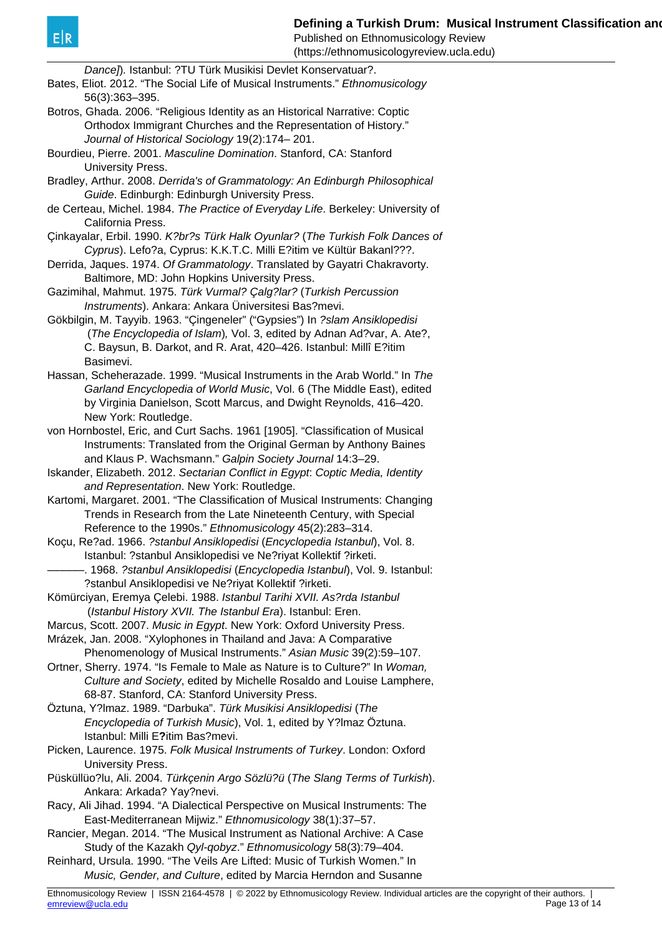Published on Ethnomusicology Review

| (https://ethnomusicologyreview.ucla.edu)                                                                                                           |  |
|----------------------------------------------------------------------------------------------------------------------------------------------------|--|
| Dance]). Istanbul: ?TU Türk Musikisi Devlet Konservatuar?.<br>Bates, Eliot. 2012. "The Social Life of Musical Instruments." Ethnomusicology        |  |
| 56(3):363-395.                                                                                                                                     |  |
| Botros, Ghada. 2006. "Religious Identity as an Historical Narrative: Coptic                                                                        |  |
| Orthodox Immigrant Churches and the Representation of History."                                                                                    |  |
| Journal of Historical Sociology 19(2):174-201.                                                                                                     |  |
| Bourdieu, Pierre. 2001. Masculine Domination. Stanford, CA: Stanford                                                                               |  |
| University Press.<br>Bradley, Arthur. 2008. Derrida's of Grammatology: An Edinburgh Philosophical                                                  |  |
| Guide. Edinburgh: Edinburgh University Press.                                                                                                      |  |
| de Certeau, Michel. 1984. The Practice of Everyday Life. Berkeley: University of                                                                   |  |
| California Press.                                                                                                                                  |  |
| Çinkayalar, Erbil. 1990. K?br?s Türk Halk Oyunlar? (The Turkish Folk Dances of                                                                     |  |
| Cyprus). Lefo?a, Cyprus: K.K.T.C. Milli E?itim ve Kültür Bakanl???.                                                                                |  |
| Derrida, Jaques. 1974. Of Grammatology. Translated by Gayatri Chakravorty.                                                                         |  |
| Baltimore, MD: John Hopkins University Press.                                                                                                      |  |
| Gazimihal, Mahmut. 1975. Türk Vurmal? Çalg?lar? (Turkish Percussion                                                                                |  |
| Instruments). Ankara: Ankara Üniversitesi Bas?mevi.                                                                                                |  |
| Gökbilgin, M. Tayyib. 1963. "Çingeneler" ("Gypsies") In ?slam Ansiklopedisi                                                                        |  |
| (The Encyclopedia of Islam), Vol. 3, edited by Adnan Ad?var, A. Ate?,                                                                              |  |
| C. Baysun, B. Darkot, and R. Arat, 420-426. Istanbul: Millî E?itim<br>Basimevi.                                                                    |  |
| Hassan, Scheherazade. 1999. "Musical Instruments in the Arab World." In The                                                                        |  |
| Garland Encyclopedia of World Music, Vol. 6 (The Middle East), edited                                                                              |  |
| by Virginia Danielson, Scott Marcus, and Dwight Reynolds, 416-420.                                                                                 |  |
| New York: Routledge.                                                                                                                               |  |
| von Hornbostel, Eric, and Curt Sachs. 1961 [1905]. "Classification of Musical                                                                      |  |
| Instruments: Translated from the Original German by Anthony Baines                                                                                 |  |
| and Klaus P. Wachsmann." Galpin Society Journal 14:3-29.                                                                                           |  |
| Iskander, Elizabeth. 2012. Sectarian Conflict in Egypt. Coptic Media, Identity                                                                     |  |
| and Representation. New York: Routledge.                                                                                                           |  |
| Kartomi, Margaret. 2001. "The Classification of Musical Instruments: Changing<br>Trends in Research from the Late Nineteenth Century, with Special |  |
| Reference to the 1990s." Ethnomusicology 45(2):283-314.                                                                                            |  |
| Koçu, Re?ad. 1966. ?stanbul Ansiklopedisi (Encyclopedia Istanbul), Vol. 8.                                                                         |  |
| Istanbul: ?stanbul Ansiklopedisi ve Ne?riyat Kollektif ?irketi.                                                                                    |  |
| -. 1968. ?stanbul Ansiklopedisi (Encyclopedia Istanbul), Vol. 9. Istanbul:                                                                         |  |
| ?stanbul Ansiklopedisi ve Ne?riyat Kollektif ?irketi.                                                                                              |  |
| Kömürciyan, Eremya Çelebi. 1988. Istanbul Tarihi XVII. As?rda Istanbul                                                                             |  |
| (Istanbul History XVII. The Istanbul Era). Istanbul: Eren.                                                                                         |  |
| Marcus, Scott. 2007. Music in Egypt. New York: Oxford University Press.                                                                            |  |
| Mrázek, Jan. 2008. "Xylophones in Thailand and Java: A Comparative                                                                                 |  |
| Phenomenology of Musical Instruments." Asian Music 39(2):59-107.<br>Ortner, Sherry. 1974. "Is Female to Male as Nature is to Culture?" In Woman,   |  |
| Culture and Society, edited by Michelle Rosaldo and Louise Lamphere,                                                                               |  |
| 68-87. Stanford, CA: Stanford University Press.                                                                                                    |  |
| Öztuna, Y?lmaz. 1989. "Darbuka". <i>Türk Musikisi Ansiklopedisi</i> (The                                                                           |  |
| Encyclopedia of Turkish Music), Vol. 1, edited by Y?Imaz Öztuna.                                                                                   |  |
| Istanbul: Milli E?itim Bas?mevi.                                                                                                                   |  |
| Picken, Laurence. 1975. Folk Musical Instruments of Turkey. London: Oxford                                                                         |  |
| University Press.                                                                                                                                  |  |
| Püsküllüo?lu, Ali. 2004. Türkçenin Argo Sözlü?ü (The Slang Terms of Turkish).                                                                      |  |
| Ankara: Arkada? Yay?nevi.                                                                                                                          |  |
| Racy, Ali Jihad. 1994. "A Dialectical Perspective on Musical Instruments: The                                                                      |  |
| East-Mediterranean Mijwiz." Ethnomusicology 38(1):37-57.                                                                                           |  |
| Rancier, Megan. 2014. "The Musical Instrument as National Archive: A Case<br>Study of the Kazakh Qyl-qobyz." Ethnomusicology 58(3):79-404.         |  |
| Reinhard, Ursula. 1990. "The Veils Are Lifted: Music of Turkish Women." In                                                                         |  |
| Music, Gender, and Culture, edited by Marcia Herndon and Susanne                                                                                   |  |
|                                                                                                                                                    |  |